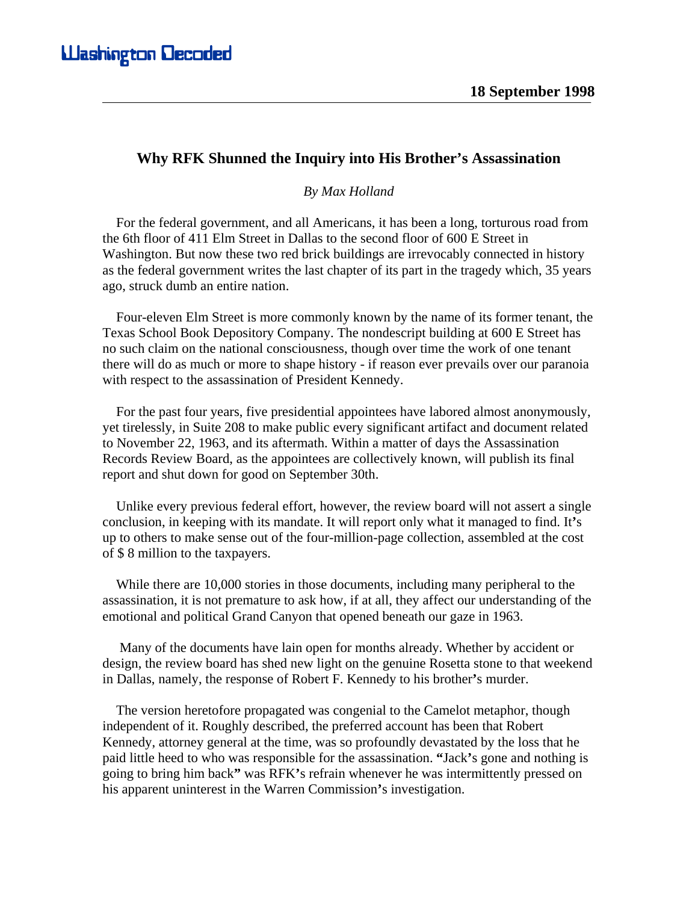## **Why RFK Shunned the Inquiry into His Brother's Assassination**

## *By Max Holland*

 For the federal government, and all Americans, it has been a long, torturous road from the 6th floor of 411 Elm Street in Dallas to the second floor of 600 E Street in Washington. But now these two red brick buildings are irrevocably connected in history as the federal government writes the last chapter of its part in the tragedy which, 35 years ago, struck dumb an entire nation.

 Four-eleven Elm Street is more commonly known by the name of its former tenant, the Texas School Book Depository Company. The nondescript building at 600 E Street has no such claim on the national consciousness, though over time the work of one tenant there will do as much or more to shape history - if reason ever prevails over our paranoia with respect to the assassination of President Kennedy.

 For the past four years, five presidential appointees have labored almost anonymously, yet tirelessly, in Suite 208 to make public every significant artifact and document related to November 22, 1963, and its aftermath. Within a matter of days the Assassination Records Review Board, as the appointees are collectively known, will publish its final report and shut down for good on September 30th.

 Unlike every previous federal effort, however, the review board will not assert a single conclusion, in keeping with its mandate. It will report only what it managed to find. It**'**s up to others to make sense out of the four-million-page collection, assembled at the cost of \$ 8 million to the taxpayers.

 While there are 10,000 stories in those documents, including many peripheral to the assassination, it is not premature to ask how, if at all, they affect our understanding of the emotional and political Grand Canyon that opened beneath our gaze in 1963.

 Many of the documents have lain open for months already. Whether by accident or design, the review board has shed new light on the genuine Rosetta stone to that weekend in Dallas, namely, the response of Robert F. Kennedy to his brother**'**s murder.

 The version heretofore propagated was congenial to the Camelot metaphor, though independent of it. Roughly described, the preferred account has been that Robert Kennedy, attorney general at the time, was so profoundly devastated by the loss that he paid little heed to who was responsible for the assassination. **"**Jack**'**s gone and nothing is going to bring him back**"** was RFK**'**s refrain whenever he was intermittently pressed on his apparent uninterest in the Warren Commission**'**s investigation.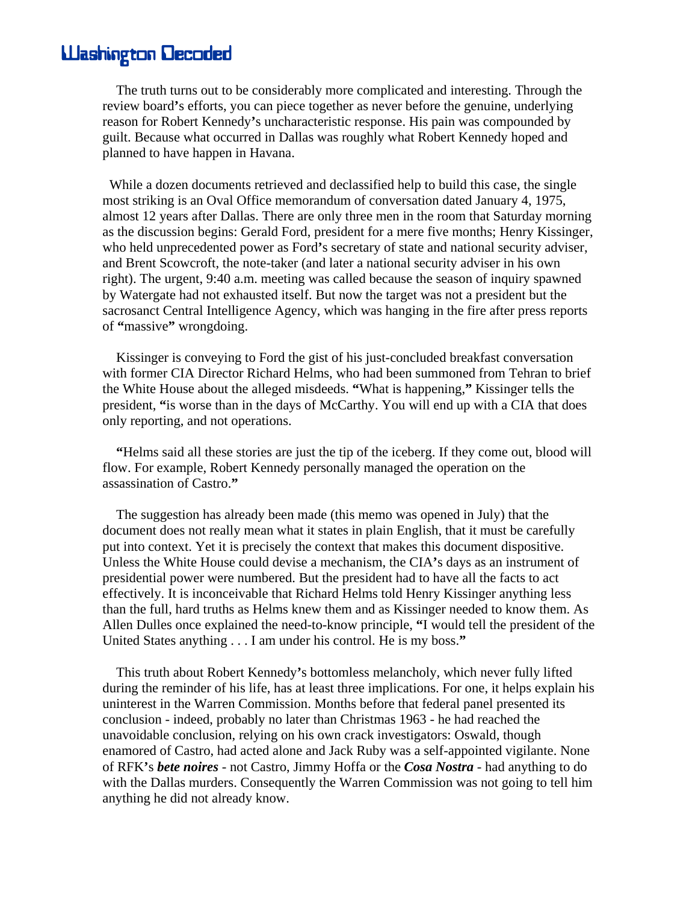## **Washington Decoded**

 The truth turns out to be considerably more complicated and interesting. Through the review board**'**s efforts, you can piece together as never before the genuine, underlying reason for Robert Kennedy**'**s uncharacteristic response. His pain was compounded by guilt. Because what occurred in Dallas was roughly what Robert Kennedy hoped and planned to have happen in Havana.

 While a dozen documents retrieved and declassified help to build this case, the single most striking is an Oval Office memorandum of conversation dated January 4, 1975, almost 12 years after Dallas. There are only three men in the room that Saturday morning as the discussion begins: Gerald Ford, president for a mere five months; Henry Kissinger, who held unprecedented power as Ford**'**s secretary of state and national security adviser, and Brent Scowcroft, the note-taker (and later a national security adviser in his own right). The urgent, 9:40 a.m. meeting was called because the season of inquiry spawned by Watergate had not exhausted itself. But now the target was not a president but the sacrosanct Central Intelligence Agency, which was hanging in the fire after press reports of **"**massive**"** wrongdoing.

 Kissinger is conveying to Ford the gist of his just-concluded breakfast conversation with former CIA Director Richard Helms, who had been summoned from Tehran to brief the White House about the alleged misdeeds. **"**What is happening,**"** Kissinger tells the president, **"**is worse than in the days of McCarthy. You will end up with a CIA that does only reporting, and not operations.

 **"**Helms said all these stories are just the tip of the iceberg. If they come out, blood will flow. For example, Robert Kennedy personally managed the operation on the assassination of Castro.**"** 

 The suggestion has already been made (this memo was opened in July) that the document does not really mean what it states in plain English, that it must be carefully put into context. Yet it is precisely the context that makes this document dispositive. Unless the White House could devise a mechanism, the CIA**'**s days as an instrument of presidential power were numbered. But the president had to have all the facts to act effectively. It is inconceivable that Richard Helms told Henry Kissinger anything less than the full, hard truths as Helms knew them and as Kissinger needed to know them. As Allen Dulles once explained the need-to-know principle, **"**I would tell the president of the United States anything . . . I am under his control. He is my boss.**"** 

 This truth about Robert Kennedy**'**s bottomless melancholy, which never fully lifted during the reminder of his life, has at least three implications. For one, it helps explain his uninterest in the Warren Commission. Months before that federal panel presented its conclusion - indeed, probably no later than Christmas 1963 - he had reached the unavoidable conclusion, relying on his own crack investigators: Oswald, though enamored of Castro, had acted alone and Jack Ruby was a self-appointed vigilante. None of RFK**'**s *bete noires* - not Castro, Jimmy Hoffa or the *Cosa Nostra* - had anything to do with the Dallas murders. Consequently the Warren Commission was not going to tell him anything he did not already know.